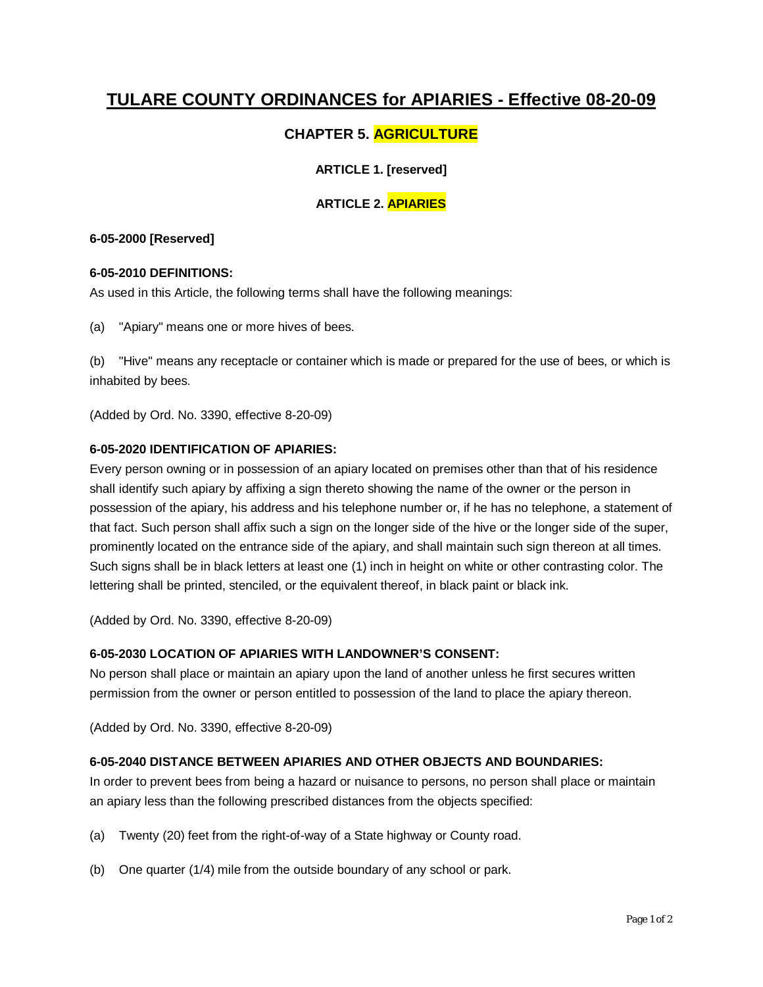# **TULARE COUNTY ORDINANCES for APIARIES - Effective 08-20-09**

# **CHAPTER 5. AGRICULTURE**

# **ARTICLE 1. [reserved]**

# **ARTICLE 2. APIARIES**

# **6-05-2000 [Reserved]**

# **6-05-2010 DEFINITIONS:**

As used in this Article, the following terms shall have the following meanings:

(a) "Apiary" means one or more hives of bees.

(b) "Hive" means any receptacle or container which is made or prepared for the use of bees, or which is inhabited by bees.

(Added by Ord. No. 3390, effective 8-20-09)

# **6-05-2020 IDENTIFICATION OF APIARIES:**

Every person owning or in possession of an apiary located on premises other than that of his residence shall identify such apiary by affixing a sign thereto showing the name of the owner or the person in possession of the apiary, his address and his telephone number or, if he has no telephone, a statement of that fact. Such person shall affix such a sign on the longer side of the hive or the longer side of the super, prominently located on the entrance side of the apiary, and shall maintain such sign thereon at all times. Such signs shall be in black letters at least one (1) inch in height on white or other contrasting color. The lettering shall be printed, stenciled, or the equivalent thereof, in black paint or black ink.

(Added by Ord. No. 3390, effective 8-20-09)

# **6-05-2030 LOCATION OF APIARIES WITH LANDOWNER'S CONSENT:**

No person shall place or maintain an apiary upon the land of another unless he first secures written permission from the owner or person entitled to possession of the land to place the apiary thereon.

(Added by Ord. No. 3390, effective 8-20-09)

# **6-05-2040 DISTANCE BETWEEN APIARIES AND OTHER OBJECTS AND BOUNDARIES:**

In order to prevent bees from being a hazard or nuisance to persons, no person shall place or maintain an apiary less than the following prescribed distances from the objects specified:

- (a) Twenty (20) feet from the right-of-way of a State highway or County road.
- (b) One quarter (1/4) mile from the outside boundary of any school or park.